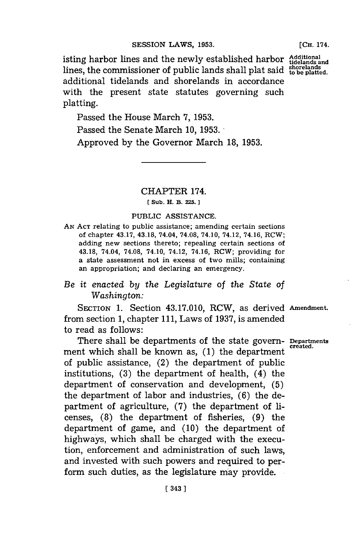isting harbor lines and the newly established harbor Additional and lines, the commissioner of public lands shall plat said to be platted. additional tidelands and shorelands in accordance with the present state statutes governing such platting.

**[CH.** 174.

Passed the House March **7, 1953.**

Passed the Senate March **10, 1953.**

Approved **by** the Governor March **18, 1953.**

# CHAPTER 174.

## **[ Sub. H. B. 225**

#### PUBLIC **ASSISTANCE.**

**AN ACT** relating to public assistance; amending certain sections of chapter 43.17, 43.18, 74.04, **74.08,** 74.10, 74.12, 74.16, RCW; adding new sections thereto; repealing certain sections of 43.18, 74.04, **74.08,** 74.10, 74.12, 74.16, RCW; providing for a state assessment not in excess of two mills; containing an appropriation; and declaring an emergency.

## *Be it enacted by the Legislature* of *the State of Washington:*

SECTION **1.** Section 43.17.010, RCW, as derived Amendment. from section **1,** chapter **111,** Laws of **1937,** is amended to read as follows:

There shall be departments of the state govern- **Departmrents** ment which shall be known as, (1) the department of public assistance, (2) the department of public institutions, **(3)** the department of health, (4) the department of conservation and development, **(5)** the department of labor and industries, **(6)** the department of agriculture, **(7)** the department of **li**censes, **(8)** the department of fisheries, **(9)** the department of game, and **(10)** the department of highways, which shall be charged with the execution, enforcement and administration of such laws, and invested with such powers and required to perform such duties, as the legislature may provide.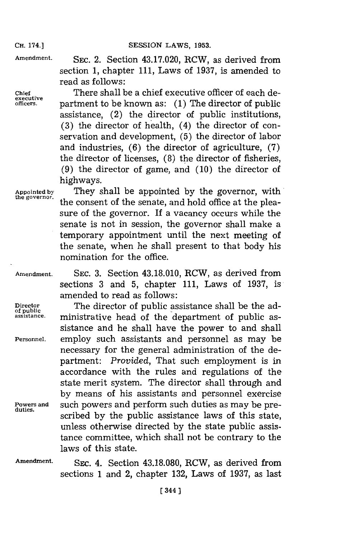**Amendment. SEC.** 2. Section 43.17.020, RCW, as derived from section **1,** chapter **111,** Laws of **1937,** is amended to read as follows:

executive<br>
officers

**Chief** There shall be a chief executive officer of each department to be known as: (1) The director of public assistance, (2) the director of public institutions, **(3)** the director of health, (4) the director of conservation and development, **(5)** the director of labor and industries, **(6)** the director of agriculture, **(7)** the director of licenses, **(8)** the director of fisheries, **(9)** the director of game, and **(10)** the director of highways.

**Appointed by** They shall be appointed **by** the governor, with the consent of the senate, and hold office at the pleasure of the governor. If a vacancy occurs while the senate is not in session, the governor shall make a temporary appointment until the next meeting of the senate, when he shall present to that body his nomination for the office.

**Amendment. SEC. 3.** Section 43.18.010, RCW, as derived from sections **3** and **5,** chapter **111,** Laws of **1937,** is amended to read as follows:

Director **The director of public assistance shall be the adassistance.** ministrative head of the department of public assistance and he shall have the power to and shall **Personnel,** employ such assistants and personnel as may be necessary for the general administration of the department: *Provided,* That such employment is in accordance with the rules and regulations of the state merit system. The director shall through and **by** means of his assistants and personnel exercise **Powers and** such powers and perform such duties as may be prescribed by the public assistance laws of this state, unless otherwise directed **by** the state public assistance committee, which shall not be contrary to the laws of this state.

**Amendment.** SEc. 4. Section **43.18.080,** RCW, as derived from sections **1** and 2, chapter **132,** Laws of **1937,** as last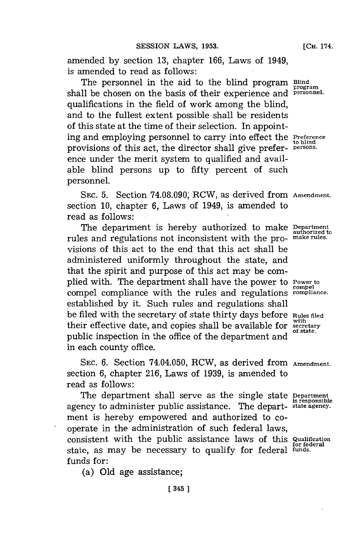amended **by** section **13,** chapter **166,** Laws of 1949, is amended to read as follows:

The personnel in the aid to the blind program Blind shall be chosen on the basis of their experience and **personnel**. qualifications in the field of work among the blind, and to the fullest extent possible shall be residents of this state at the time of their selection. In appointing and employing personnel to carry into effect the **Preference to blind** provisions of this act, the director shall give prefer- **persons.** ence under the merit system to qualified and available blind persons up to fifty percent of such personnel.

**SEC. 5.** Section **74.08.090;** RCW, as derived from **Amendment.** section **10,** chapter **6,** Laws of 1949, is amended to read as follows:

The department is hereby authorized to make **Department authorized to** rules and regulations not inconsistent with the pro- **make rules.** visions of this act to the end that this act shall be administered uniformly throughout the state, and that the spirit and purpose of this act may be complied with. The department shall have the power to **Power to** compel **compel** compel compliance with the rules and regulations **compliance.** established **by** it. Such rules and regulations shall be filed with the secretary of state thirty days before **Rules filed** their effective date, and copies shall be available for **secretary** public inspection in the office of the department and in each county office.

**SEC. 6.** Section 74.04.050, RCW, as derived from **Amendment.** section **6,** chapter **216,** Laws of **1939,** is amended to read as follows:

The department shall serve as the single state **Department** agency to administer public assistance. The depart- **state agency.** ment is hereby empowered and authorized to cooperate in the administration of such federal laws, consistent with the public assistance laws of this **Qualification for federal** state, as may be necessary to qualify for federal **funds.** funds for:

(a) **Old** age assistance;

**is responsible**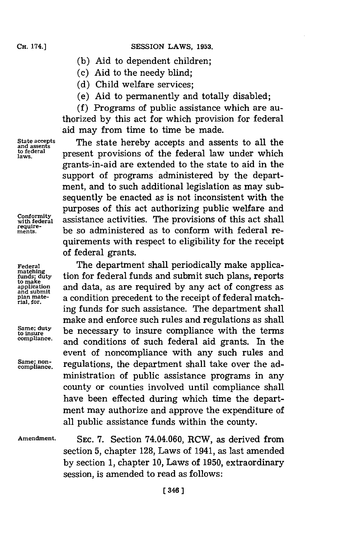### **SESSION LAWS, 1953.**

- **(b)** Aid to dependent children;
- **(c)** Aid to the needy blind;
- **(d)** Child welfare services;
- (e) Aid to permanently and totally disabled;

**(f)** Programs of public assistance which are authorized **by** this act for which provision for federal aid may from time to time be made.

**and assents**

**require-**

**rial, for.**

**State accepts** The state hereby accepts and assents to all the and assents<br>to federal **present provisions of the federal law under which**<br>laws. grants-in-aid are extended to the state to aid in the support of programs administered **by** the department, and to such additional legislation as may subsequently be enacted as is not inconsistent with the purposes of this act authorizing public welfare and *conformity* assistance activities. The provisions of this act shall be so administered as to conform with federal requirements with respect to eligibility for the receipt of federal grants.

**Federal The department shall periodically make applica-** matching<br> *t* muds; duty <br> **duming to make**<br> **and data, as are required** by any act of congress as<br> **application** and submit **and any actual condition** precedent to the receipt of federal matching funds for such assistance. The department shall make and enforce such rules and regulations as shall Same; duty be necessary to insure compliance with the terms **compliance,** and conditions of such federal aid grants. In the event of noncompliance with any such rules and Same; non-<br>compliance. regulations, the department shall take over the administration of public assistance programs in any county or counties involved until compliance shall have been effected during which time the department may authorize and approve the expenditure of all public assistance funds within the county.

**Amendment. SEC. 7.** Section 74.04.060, RCW, as derived from section **5,** chapter **128,** Laws of 1941, as last amended **by** section **1,** chapter **10,** Laws of **1950,** extraordinary session, is amended to read as follows: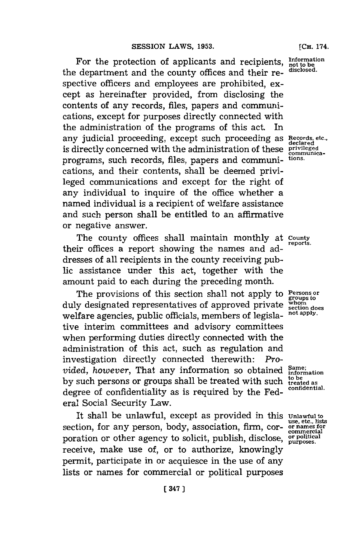For the protection of applicants and recipients, **Information** the department and the county offices and their re- **disclosed.** spective officers and employees are prohibited, except as hereinafter provided, from disclosing the contents of any records, files, papers and communications, except for purposes directly connected with the administration of the programs of this act. In any judicial proceeding, except such proceeding as **Records, etc., declared** is directly concerned with the administration of these **privileged** programs, such records, files, papers and communi- **tions.** cations, and their contents, shall be deemed privileged communications and except for the right of any individual to inquire of the office whether a named individual is a recipient of welfare assistance and such person shall be entitled to an affirmative or negative answer.

The county offices shall maintain monthly at **County** their offices a report showing the names and addresses of all recipients in the county receiving public assistance under this act, together with the amount paid to each during the preceding month.

The provisions of this section shall not apply to **Persons or** *groups* to *groups* to *groups* to *groups* to *group group*<sub></sub>  $\frac{1}{2}$  *group*<sub></sub>  $\frac{1}{2}$  *group*<sub>2</sub>  $\frac{1}{2}$   $\frac{1}{2}$   $\frac{1}{2}$   $\frac{1}{2}$   $\frac{1}{2}$   $\$ duly designated representatives of approved private **whom** welfare agencies, public officials, members of legisla- **not apply.** tive interim committees and advisory committees when performing duties directly connected with the administration of this act, such as regulation and investigation directly connected therewith: *Provided, however, That any information so obtained*  $_{information}^{Same}$ **by** such persons or groups shall be treated with such **treated as** degree of confidentiality as is required by the Federal Social Security Law.

It shall be unlawful, except as provided in this **Unlawful to** section, for any person, body, association, firm, cor- **or names for** poration or other agency to solicit, publish, disclose, **or political purposes.** receive, make use of, or to authorize, knowingly permit, participate in or acquiesce in the use of any lists or names for commercial or political purposes

**reports.**

use, etc., lists **commercial**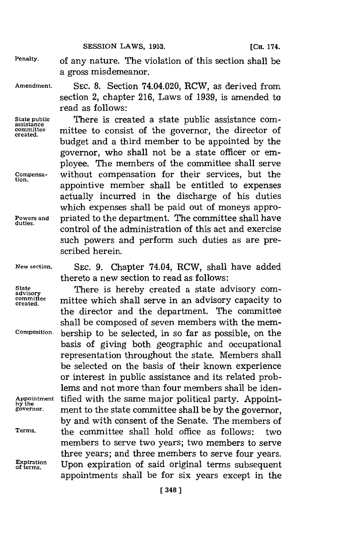**SESSION LAWS, 1953.** 

**Penalty.** of any nature. The violation of this section shall be a gross misdemeanor.

**Amendment. SEC. 8.** Section 74.04.020, RCW, as derived from section 2, chapter **216,** Laws of **1939,** is amended to read as follows:

State public **There** is created a state public assistance com-<br>
assistance **mitted** to consist of the governor, the director of **committee** mittee to consist of the governor, the director of **created.** budget and a third member to be appointed **by** the governor, who shall not be a state officer or employee. The members of the committee shall serve **Compensa-** without compensation for their services, but the appointive member shall be entitled to expenses actually incurred in the discharge of his duties which expenses shall be paid out of moneys appro-Powers and **priated to the department.** The committee shall have control of the administration of this act and exercise such powers and perform such duties as are prescribed herein.

**New section. SEC. 9.** Chapter 74.04, RCW, shall have added thereto a new section to read as follows:

**State** There is hereby created a state advisory com- **advisory** committee mittee which shall serve in an advisory capacity to the director and the department. The committee shall be composed of seven members with the mem-**Composition** bership to be selected, in so far as possible, on the basis of giving both geographic and occupational representation throughout the state. Members shall be selected on the basis of their known experience or interest in public assistance and its related problems and not more than four members shall be iden-Appointment **tified with the same major political party.** Appoint-<br>by the governor, ment to the state committee shall be by the governor. **governor.** ment to the state committee shall be **by** the governor, **by** and with consent of the Senate. The members of **Terms,** the committee shall hold office as follows: two members to serve two years; two members to serve three years; and three members to serve four years. **Expiration**<br> **Expiration**<br> **of terms.** Upon expiration of said original terms subset appointments shall be for six years except in the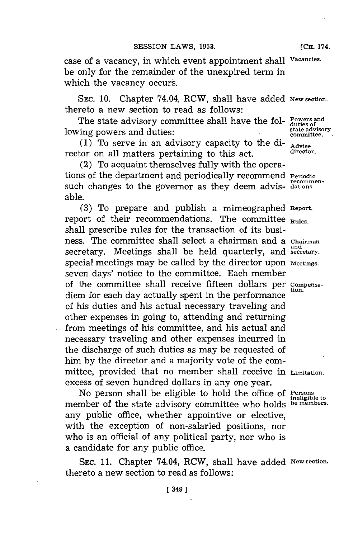case of a vacancy, in which event appointment shall **Vacancies.** be only for the remainder of the unexpired term in which the vacancy occurs.

SEc. **10.** Chapter 74.04, RCW, shall have added **New section.** thereto a new section to read as follows:

The state advisory committee shall have the fol- Powers and **Solution 1 is a state advisory state advisory state advisory state advisory** 

**(1)** To serve in an advisory capacity to the **di- Advise** rector on all matters pertaining to this act.

(2) To acquaint themselves fully with the operations of the department and periodically recommend **Periodic recommen-** such changes to the governor as they deem advis- **dations.** able.

**(3)** To prepare and publish a mimeographed **Report.** report of their recommendations. The committee **Rules.** shall prescribe rules for the transaction of its business. The committee shall select a chairman and a **Chairman** secretary. Meetings shall be held quarterly, and secretary. special meetings may be called **by** the director upon **Meetings.** seven days' notice to the committee. Each member of the committee shall receive fifteen dollars per **Compensa**diem for each day actually spent in the performance of his duties and his actual necessary traveling and other expenses in going to, attending and returning from meetings of his committee, and his actual and necessary traveling and other expenses incurred in the discharge of such duties as may be requested of him **by** the director and a majority vote of the committee, provided that no member shall receive in **Limitation.** excess of seven hundred dollars in any one year.

No person shall be eligible to hold the office of **Persons** member of the state advisory committee who holds **be members.** any public office, whether appointive or elective, with the exception of non-salaried positions, nor who is an official of any political party, nor who is a candidate for any public office.

SEC. 11. Chapter 74.04, RCW, shall have added New section. thereto a new section to read as follows:

**and**

**ineligible to**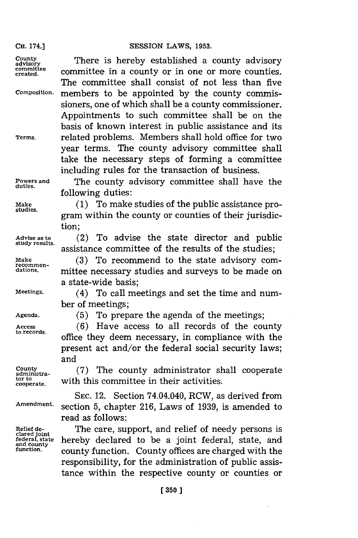**County There** is hereby established a county advisory **committee**

committee in a county or in one or more counties. The committee shall consist of not less than five **Composition,** members to be appointed **by** the county commrissioners, one of which shall be a county commissioner. Appointments to such committee shall be on the basis of known interest in public assistance and its **Terms,** related problems. Members shall hold office for two year terms. The county advisory committee shal take the necessary steps of forming a committee including rules for the transaction of business.

**duties.**

**Powers and** The county advisory committee shall have the following duties:

Make (1) To make studies of the public assistance program within the county or counties of their jurisdiction;

**Advise as to** (2) To advise the state director and public assistance committee of the results of the studies;

Make (3) To recommend to the state advisory com-<br>
recommen-<br>
dations... mittee necessary studies and surveys to be made on mittee necessary studies and surveys to be made on a state-wide basis;

**Meetings.** (4) To call meetings and set the time and number of meetings;

**tor to**

**Agenda. (5)** To prepare the agenda of the meetings;

Access (6) Have access to all records of the county to records.<br>office they deem necessary, in compliance with the present act and/or the federal social security laws; and

*= txa-* **(7)** The county administrator shall cooperate with this committee in their activities.

**SEC.** 12. Section 74.04.040, RCW, as derived from **Amendment.** section **5,** chapter **216,** Laws of **1939,** is amended to read as follows:

Relief de-<br>clared joint **The care, support, and relief of needy persons is**<br>rederal, state **hereby** declared to be a joint federal state and **cologieral, state increding declared to be a joint federal, state, and and county <br>and county <b>function**. County offices are charged with the responsibility, for the administration of public assistance within the respective county or counties or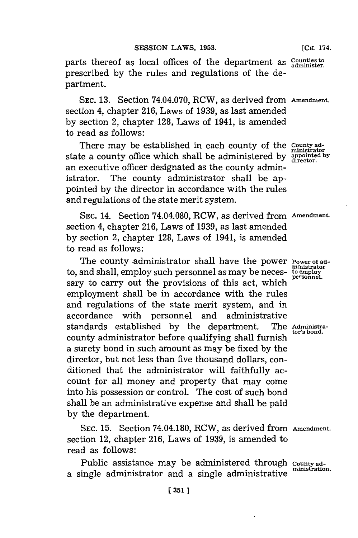parts thereof as local offices of the department as  $\frac{Counties to}{administer}$ . prescribed **by** the rules and regulations of the department.

**SEC. 13.** Section 74.04.070, RCW, as derived from **Amendment.** section 4, chapter **216,** Laws of **1939,** as last amended **by** section 2, chapter **128,** Laws of 1941, is amended to read as follows:

There may be established in each county of the **County ad**state a county office which shall be administered by appointed by state a county office which shall be administered by an executive officer designated as the county administrator. The county administrator shall be appointed **by** the director in accordance with the rules and regulations of the state merit system.

**SEC.** 14. Section 74.04.080, RCW, as derived from **Amendment.** section 4, chapter **216,** Laws of **1939,** as last amended **by** section 2, chapter **128,** Laws of 1941, is amended to read as follows:

The county administrator shall have the power **Power** of adto, and shall, employ such personnel as may be neces- **to employ** sary to carry out the provisions of this act, which **personnel.** employment shall be in accordance with the rules and regulations of the state merit system, and in accordance with personnel and administrative standards established **by** the department. The **Adnistra**county administrator before qualifying shall furnish a surety bond in such amount as may be fixed **by** the director, but not less than five thousand dollars, conditioned that the administrator will faithfully account for all money and property that may come into his possession or control. The cost of such bond shall be an administrative expense and shall be paid **by** the department.

**SEC. 15.** Section 74.04.180, RCW, as derived from **Amendment.** section 12, chapter **216,** Laws of **1939,** is amended to read as follows:

Public assistance may be administered through **County ad**a single administrator and a single administrative **ministration.**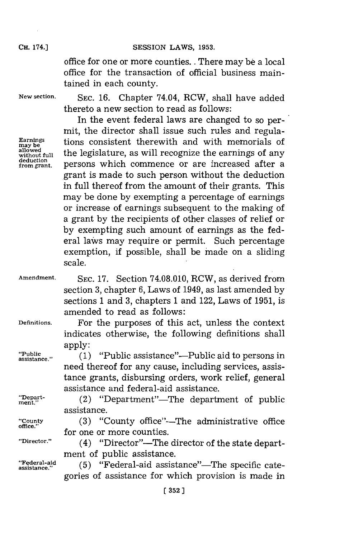office for one or more counties. **.** There may be a local office for the transaction of official business maintained in each county.

**New section. SEC. 16.** Chapter 74.04, RCW, shall have added thereto a new section to read as follows:

**deduction**

In the event federal laws are changed to so permit, the director shall issue such rules and regula-**Earnings** tions consistent therewith and with memorials of allowed without full the legislature, as will recognize the earnings of any persons which commence or are increased after a grant is made to such person without the deduction in full thereof from the amount of their grants. This may be done **by** exempting a percentage of earnings or increase of earnings subsequent to the making of a grant **by** the recipients of other classes of relief or **by** exempting such amount of earnings as the federal laws may require or permit. Such percentage exemption, if possible, shall be made on a sliding scale.

- **Amendment. SEC. 17.** Section **74.08.010,** RCW, as derived from section **3,** chapter **6,** Laws of 1949, as last amended **by** sections 1 and **3,** chapters **1** and 122, Laws of **1951,** is amended to read as follows:
- **Definitions.** For the purposes of this act, unless the context indicates otherwise, the following definitions shall apply:

"Public assistance"--Public aid to persons in assistance"--Public aid to persons in need thereof for any cause, including services, assistance grants, disbursing orders, work relief, general assistance and federal-aid assistance.

**office.'**

- "Depart- (2) "Department"-The department of public assistance.
- "County (3) "County office"-The administrative office for one or more counties.

"Director." (4) "Director"—The director of the state department of public assistance.

**"Federal-aid** assitane." **(5)** "Federal-aid assistance"-The specific categories of assistance for which provision is made in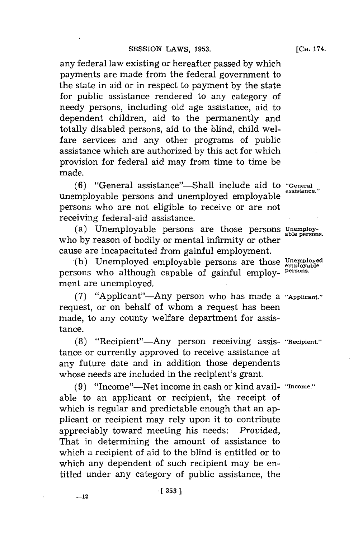any federal law existing or hereafter passed **by** which payments are made from the federal government to the state in aid or in respect to payment **by** the state for public assistance rendered to any category of needy persons, including old age assistance, aid to dependent children, aid to the permanently and totally disabled persons, aid to the blind, child welfare services and any other programs of public assistance which are authorized **by** this act for which provision for federal aid may from time to time be made.

**(6)** "General assistance"--Shall include aid to **"General** unemployable persons and unemployed employable persons who are not eligible to receive or are not receiving federal-aid assistance.

(a) Unemployable persons are those persons *Unemploy-* able persons. who by reason of bodily or mental infirmity or other cause are incapacitated from gainful employment.

**(b)** Unemployed employable persons are those **Unemployed employable** persons who although capable of gainful employ- **persons.** ment are unemployed.

**(7)** "Applicant"-Any person who has made a **"Applicant."** request, or on behalf of whom a request has been made, to any county welfare department for assistance.

**(8)** "Recipient"-Any person receiving assis- **"Recipient."** tance or currently approved to receive assistance at any future date and in addition those dependents whose needs are included in the recipient's grant.

**(9)** "Income"-Net income in cash or kind avail- **"Income."** able to an applicant or recipient, the receipt of which is regular and predictable enough that an applicant or recipient may rely upon it to contribute appreciably toward meeting his needs: *Provided,* That in determining the amount of assistance to which a recipient of aid to the blind is entitled or to which any dependent of such recipient may be entitled under any category of public assistance, the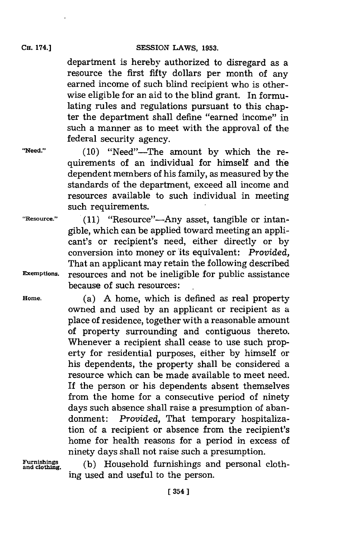department is hereby authorized to disregard as a resource the first fifty dollars per month of any earned income of such blind recipient who is otherwise eligible for an aid to the blind grant. In formulating rules and regulations pursuant to this chapter the department shall define "earned income" in such a manner as to meet with the approval of the federal security agency.

**"Need." (10)** "Need"-The amount **by** which the requirements of an individual for himself and the dependent members of his family, as measured **by** the standards of the department, exceed all income and resources available to such individual in meeting such requirements.

"Resource." (11) "Resource"-Any asset, tangible or intangible, which can be applied toward meeting an applicant's or recipient's need, either directly or **by** conversion into money or its equivalent: *Provided,* That an applicant may retain the following described **Exemptions,** resources and not be ineligible for public assistance because of such resources:

**Home.** (a) **A** home, which is defined as real property owned and used **by** an applicant or recipient as a place of residence, together with a reasonable amount of property surrounding and contiguous thereto. Whenever a recipient shall cease to use such property for residential purposes, either **by** himself or his dependents, the property shall be considered a resource which can be made available to meet need. If the person or his dependents absent themselves from the home for a consecutive period of ninety days such absence shall raise a presumption of abandonment: *Provided,* That temporary hospitalization of a recipient or absence from the recipient's home for health reasons for a period in excess of ninety days shall not raise such a presumption.

Furnishings (b) Household furnishings and personal cloth ing used and useful to the person.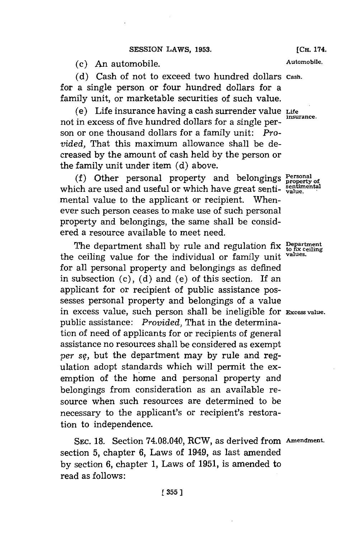(c) An automobile. **Automobile.**

**(d)** Cash of not to exceed two hundred dollars **Cash.** for a single person or four hundred dollars for a family unit, or marketable securities of such value.

(e) Life insurance having a cash surrender value **Life** not in excess of five hundred dollars for a single person or one thousand dollars for a family unit: *Provided,* That this maximum allowance shall be decreased **by** the amount of cash held **by** the person or the family unit under item **(d)** above.

**(f)** Other personal property and belongings **Personal** which are used and useful or which have great senti- sentiments mental value to the applicant or recipient. Whenever such person ceases to make use of such personal property and belongings, the same shall be considered a resource available to meet need.

The department shall by rule and regulation fix Department<br>a ceiling value for the individual on family unit values. the ceiling value for the individual or family unit for all personal property and belongings as defined in subsection (c), **(d)** and (e) of this section. If an applicant for or recipient of public assistance possesses personal property and belongings of a value in excess value, such person shall be ineligible for **Excess value.** public assistance: *Provided,* That in the determination of need of applicants for or recipients of general assistance no resources shall be considered as exempt *per sq,* but the department may **by** rule and regulation adopt standards which will permit the exemption of the home and personal property and belongings from consideration as an available resource when such resources are determined to be necessary to the applicant's or recipient's restoration to independence.

SEC. 18. Section 74.08.040, RCW, as derived from Amendment. section **5,** chapter **6,** Laws of 1949, as last amended **by** section **6,** chapter **1,** Laws of **1951,** is amended to read as follows: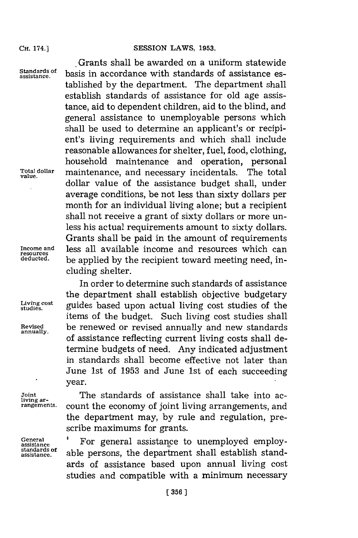#### SESSION LAWS, 1953.

**CH.** 174.]

**value.**

cluding shelter.

**annually.**

.Grants shall be awarded on a uniform statewide Standards of basis in accordance with standards of assistance established **by** the department. The department shall establish standards of assistance for old age assistance, aid to dependent children, aid to the blind, and general assistance to unemployable persons which shall be used to determine an applicant's or recipient's living requirements and which shall include reasonable allowances for shelter, fuel, food, clothing, household maintenance and operation, personal **Total dollar** maintenance, and necessary incidentals. The total dollar value of the assistance budget shall, under average conditions, be not less than sixty dollars per month for an individual living alone; but a recipient shall not receive a grant of sixty dollars or more unless his actual requirements amount to sixty dollars. Grants shall be paid in the amount of requirements **Income and** less all available income and resources which can **resources deducted,** be applied **by** the recipient toward meeting need, in-

In order to determine such standards of assistance the department shall establish objective budgetary Living cost **guides** based upon actual living cost studies of the studies. items of the budget. Such living cost studies shall **Revised** be renewed or revised annually and new standards of assistance reflecting current living costs shall determine budgets of need. Any indicated adjustment in standards shall become effective not later than June 1st of **1953** and June 1st of each succeeding year.

**General standards of**

Joint **The standards of assistance shall take into ac-**<br>Iiving ar**rangements.** count the economy of joint living arrangements, and the department may, **by** rule and regulation, prescribe maximums for grants.

> **assistance** For general assistance to unemployed employable persons, the department shall establish standards of assistance based upon annual living cost studies and compatible with a minimum necessary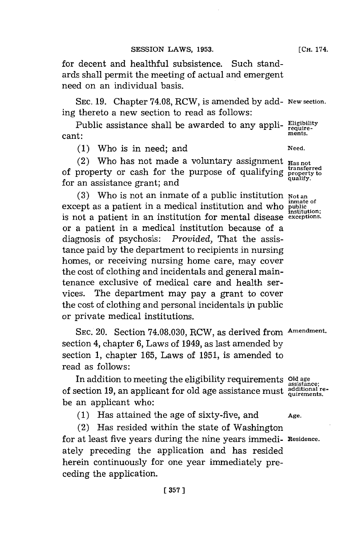for decent and healthful subsistence. Such standards shall permit the meeting of actual and emergent need on an individual basis.

**SEC. 19.** Chapter **74.08,** RCW, is amended **by** add- New section. ing thereto a new section to read as follows:

Public assistance shall be awarded to any appli- $\frac{\text{Eligibility}}{\text{require}}$ cant: **ments.**

**(1)** Who is in need; and **Need.**

(2) Who has not made a voluntary assignment **Has not transferred** of property or cash for the purpose of qualifying **property to** for an assistance grant; and

(3) Who is not an inmate of a public institution **Not an** except as a patient in a medical institution and who **public institution;** is not a patient in an institution for mental disease **exceptions.** or a patient in a medical institution because of a diagnosis of psychosis: *Provided,* That the assistance paid **by** the department to recipients in nursing homes, or receiving nursing home care, may cover the cost of clothing and incidentals and general maintenance exclusive of medical care and health services. The department may pay a grant to cover the cost of clothing and personal incidentals in public or private medical institutions.

**SEC.** 20. Section **74.08.030,** RCW, as derived from **Amendment.** section 4, chapter **6,** Laws of 1949, as last amended **by** section **1,** chapter **165,** Laws of **1951,** is amended to read as follows:

In addition to meeting the eligibility requirements **Old age** of section 19, an applicant for old age assistance must additional rebe an applicant who:

**(1)** Has attained the age of sixty-five, and **Age.**

(2) Has resided within the state of Washington for at least five years during the nine years immedi- **Residence.** ately preceding the application and has resided herein continuously for one year immediately preceding the application.

**assistance;**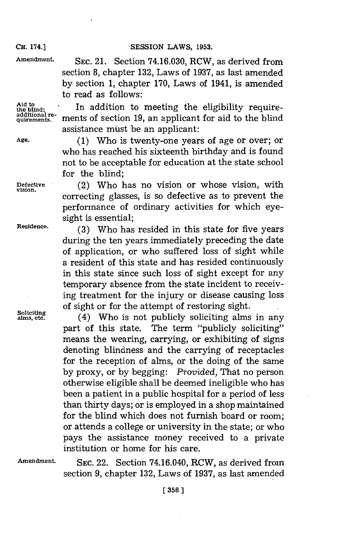**CH.** 174.]

**Amendment. SEC.** 21. Section **74.16.030,** RCW, as derived from section **8,** chapter **132,** Laws of **1937,** as last amended **by** section **1,** chapter **170,** Laws of 1941, is amended to read as follows:

Aid to<br>the blind: In addition to meeting the eligibility require-<br>additional re-Aid to<br>the blind:<br>addition to meeting the eligibility require-<br>dditional re-<br>quirements. ments of section 19, an applicant for aid to the blind assistance muist be an applicant:

**Age. (1)** Who is twenty-one years of age or over; or who has reached his sixteenth birthday and is found not to be acceptable for education at the state school for the blind;

**Defective** (2) Who has no vision or whose vision, with correcting glasses, is so defective as to prevent the performance of ordinary activities for which eyesight is essential;

**Residence. (3)** Who has resided in this state for five years during the ten years immediately preceding the date of application, or who suffered loss of sight while a resident of this state and has resided continuously in this state since such loss of sight except for any temporary absence from the state incident to receiving treatment for the injury or disease causing loss of sight or for the attempt of restoring sight.<br>soliciting alms, etc. (4) Who is not publicly soliciting alms

**alms, et** (4) Who is not publicly soliciting alms in any part of this state. The term "publicly soliciting" means the wearing, carrying, or exhibiting of signs denoting blindness and the carrying of receptacles for the reception of alms, or the doing of the same **by** proxy, or **by** begging: *Provided,* That no person otherwise eligible shall be deemed ineligible who has been a patient in a public hospital for a period of less than thirty days; or is employed in a shop maintained for the blind which does not furnish board or room; or attends a college or university in the state; or who pays the assistance money received to a private institution or home for his care.

**Amendment. SEC.** 22. Section 74.16.040, RCW, as derived from section **9,** chapter **132,** Laws of **1937,** as last amended

**vision.**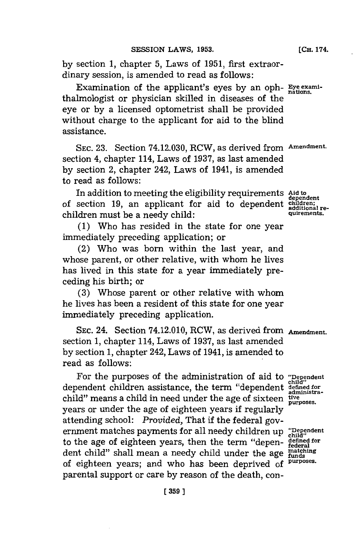**by** section **1,** chapter **5,** Laws of **1951,** first extraordinary session, is amended to read as follows:

Examination of the applicant's eyes **by** an oph- **Eye exami**thalmologist or physician skilled in diseases of the eye or **by** a licensed optometrist shall be provided without charge to the applicant for aid to the blind assistance.

**SEC. 23.** Section 74.12.030, RCW, as derived from **Amendment.** section 4, chapter 114, Laws of **1937,** as last amended **by** section 2, chapter 242, Laws of 1941, is amended to read as follows:

In addition to meeting the eligibility requirements Aid to<br>of section 19, an applicant for aid to dependent **children;** children must be a needy child: **quirements.** 

**(1)** Who has resided in the state for one year immediately preceding application; or

(2) Who was born within the last year, and whose parent, or other relative, with whom he lives has lived in this state for a year immediately preceding his birth; or

**(3)** Whose parent or other relative with whom he lives has been a resident of this state for one year immediately preceding application.

**SEC.** 24. Section 74.12.010, RCW, as derived from **Amendment.** section **1,** chapter 114, Laws of **1937,** as last amended **by** section **1,** chapter 242, Laws of 1941, is amended to read as follows:

For the purposes of the administration of aid to "Dependent dependent children assistance, the term "dependent **defiznedfor** child" means a child in need under the age of sixteen  $t^{\text{true}}_{\text{purposes}}$ years or under the age of eighteen years **if** regularly attending school: *Provided,* That if the federal government matches payments for all needy children up "Dependent to the age of eighteen years, then the term "depen- defined for dent child" shall mean a needy child under the age **faung** of eighteen years; and who has been deprived **of purposes.** parental support or care **by** reason of the death, con-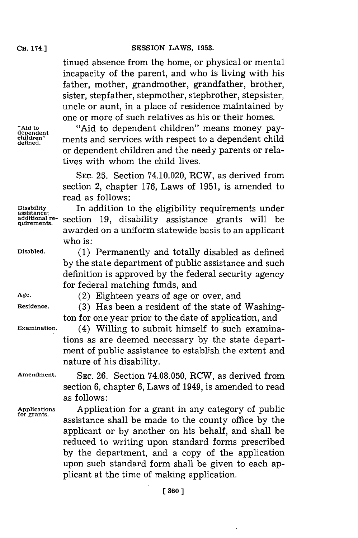tinued absence from the home, or physical or mental incapacity of the parent, and who is living with his father, mother, grandmother, grandfather, brother, sister, stepfather, stepmother, stepbrother, stepsister, uncle or aunt, in a place of residence maintained **by** one or more of such relatives as his or their homes.

**defined.**

**assistance;**

**"Aid to** "Aid to dependent children" means money pay- **dependent** ments and services with respect to a dependent child or dependent children and the needy parents or relatives with whom the child lives.

> **SEC. 25.** Section 74.10.020, RCW, as derived from section 2, chapter **176,** Laws of **1951,** is amended to read as follows:

**Disability** In addition to the eligibility requirements under additional re- section 19, disability assistance grants will be awarded on a uniform statewide basis to an applicant who is:

**Disabled. (1)** Permanently and totally disabled as defined **by** the state department of public assistance and such definition is approved **by** the federal security agency for federal matching funds, and

**Age.** (2) Eighteen years of age or over, and

**Residence. (3)** Has been a resident of the state of Washington for one year prior to the date of application, and

**Examination.** (4) Willing to submit himself to such examinations as are deemed necessary **by** the state department of public assistance to establish the extent and nature of his disability.

**Amendment. SEC. 26.** Section **74.08.050,** RCW, as derived from section **6,** chapter **6,** Laws of 1949, is amended to read as follows:

**Applications** Application for a grant in any category of public **for grants.** assistance shall be made to the county office **by** the applicant or **by** another on his behalf, and shall be reduced to writing upon standard forms prescribed **by** the department, and a copy of the application upon such standard form shall be given to each applicant at the time of making application.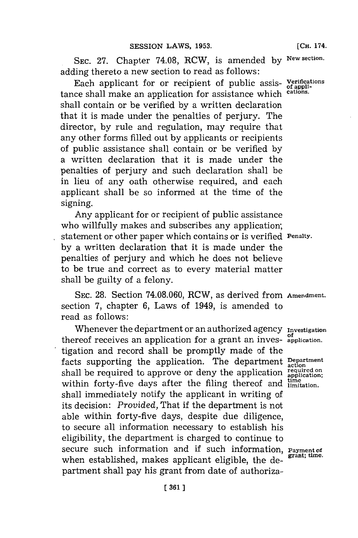**SEC. 27.** Chapter **74.08,** RCW, is amended **by New section.** adding thereto a new section to read as **follows:**

Each applicant for or recipient of public assis- **Verifications** tance shall make an application **for** assistance which **cations.** shall contain or be verified **by** a written declaration that it is made under the penalties of perjury. The director, **by** rule and regulation, may require that any other forms filled out **by** applicants or recipients of public assistance shall contain or be verified **by** a written declaration that it is made under the penalties of perjury and such declaration shall be in lieu of any oath otherwise required, and each applicant shall be so informed at the time of the signing.

Any applicant **for** or recipient of public assistance who willfully makes and subscribes any application; statement or other paper which contains or is verified **Penalty. by** a written declaration that it is made under the penalties of perjury and which he does not believe to be true and correct as to every material matter shall be guilty of a felony.

**SEC. 28.** Section **74.08.060,** RCW, as derived from **Amendment.** section **7,** chapter **6,** Laws of 1949, is amended to read as follows:

Whenever the department or an authorized agency **Investigation** thereof receives an application for a grant an inves- **application.** tigation and record shall be promptly made of the **<sup>f</sup>**acts supporting the application. The department **Department action** shall be required to approve or deny the application  $\frac{1}{\text{application}}$ within forty-five days after the filing thereof and *limitation*. shall immediately notify the applicant in writing of its decision: *Provided,* That if the department is not able within forty-five days, despite due diligence, to secure all information necessary to establish his eligibility, the department is charged to continue to secure such information and if such information, **Payment of** when established, makes applicant eligible, the department shall pay his grant from date of authoriza-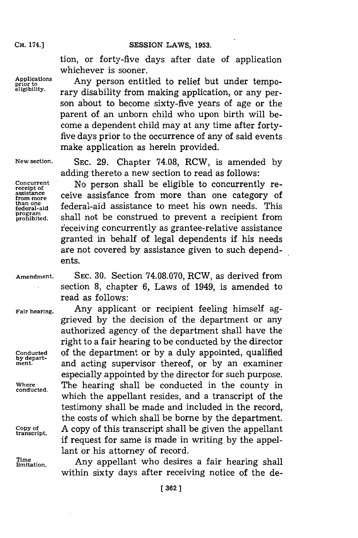tion, or forty-five days after date of application whichever is sooner.

**Applications prior to** Any person entitled to relief but under tempo- **eligibility.** rary disability from making application, or any person about to become sixty-five years of age or the parent of an unborn child who upon birth will become a dependent child may at any time after fortyfive days prior to the occurrence of any of said events make application as herein provided.

**program**

**New section. SEC. 29.** Chapter **74.08,** RCW, is amended **by** adding thereto a new section to read as follows:

Concurrent **Concurrent is assisted in the eligible to concurrently re-** assistance **ceive** assistance **from** more than one category of assistance ceive assistance from more than one category of<br>than one follows<sup>1</sup> assistance to meet his came weak. This than one **definition** federal-aid assistance to meet his own needs. This shall not be construed to prevent a recipient from receiving concurrently as grantee-relative assistance granted in behalf of legal dependents if his needs are not covered **by** assistance given to such dependents.

**conducted.**

**Amendment. SEC. 30.** Section **74.08.070,** RCW, as derived from section **8,** chapter **6,** Laws of 1949, is amended to read as follows:

**Fair hearing.** Any applicant or recipient feeling himself aggrieved **by** the decision of the department or any authorized agency of the department shall have the right to a **f** air hearing to be conducted **by** the director **Conducted** of the department or **by** a duly appointed, qualified **by depart- ment,** and acting supervisor thereof, or **by** an examiner especially appointed **by** the director for such purpose. **Where** The hearing shall be conducted in the county in which the appellant resides, and a transcript of the testimony shall be made and included in the record, the costs of which shall be borne **by** the department. Copy of **A** copy of this transcript shall be given the appellant **if** request for same is made in writing **by** the appellant or his attorney of record.

Time **imitation.** Any appellant who desires a fair hearing shall within sixty days after receiving notice of the de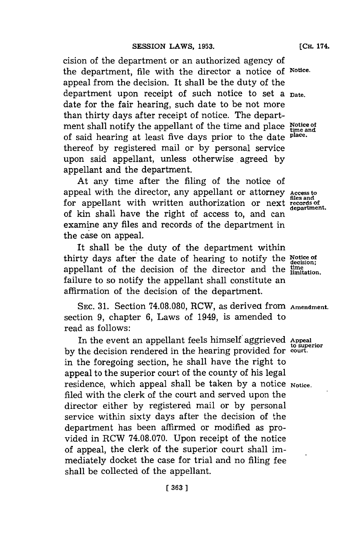cision of the department or an authorized agency of the department, file with the director a notice **of Notice.** appeal from the decision. It shall be the duty of the department upon receipt of such notice to set a **Date.** date for the fair hearing, such date to be not more than thirty days after receipt of notice. The department shall notify the appellant of the time and place **Notice of time and** of said hearing at least five days prior to the date **place.** thereof **by** registered mail or **by** personal service upon said appellant, unless otherwise. agreed **by** appellant and the department.

At any time after the filing of the notice of appeal with the director, any appellant or attorney Access to files and for appellant with written authorization or next **records** of **records** of of kin shall have the right of access to, and can examine any files and records of the department in the case on appeal.

It shall be the duty of the department within thirty days after the date of hearing to notify the **Notice of decision!** appellant of the decision of the director and the  $_{\text{limitation}}^{time}$ . failure to so notify the appellant shall constitute an affirmation of the decision of the department.

SEC. 31. Section 74.08.080, RCW, as derived from **Amendment.** section **9,** chapter **6,** Laws of 1949, is amended to read as follows:

In the event an appellant feels himself 'aggrieved **Appeal** by the decision rendered in the hearing provided for court. in the foregoing section, he shall have the right to appeal to the superior court of the county of his legal residence, which appeal shall be taken by a notice **Notice**. filed with the clerk of the court and served upon the director either **by** registered mail or **by** personal service within sixty days after the decision of the department has been affirmed or modified as provided in RCW **74.08.070.** Upon receipt of the notice of appeal, the clerk of the superior court shall immediately docket the case for trial and no filing fee shall be collected of the appellant.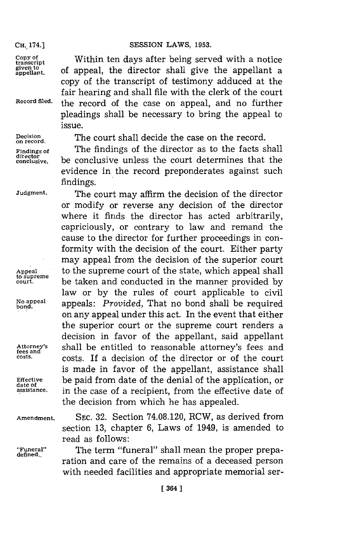**appellant,** of appeal, the director shall give the appellant a copy of the transcript of testimony adduced at the fair hearing and shall file with the clerk of the court

pleadings shall be necessary to bring the appeal to

 $\frac{Copy\ of}{transcript}$  Within ten days after being served with a notice **given to**

**Record filed,** the record of the case on appeal, and no further

director<br>conclusive.

**Decision** The court shall decide the case on the record. **on record.**

**Findings of** The findings of the director as to the facts shall **conclusive,** be conclusive unless the court determines that the evidence in the record preponderates against such findings.

**Judgment.** The court may affirm the decision of the director or modify or reverse any decision of the director where it finds the director has acted arbitrarily, capriciously, or contrary to law and remand the cause to the director for further proceedings in conformity with the decision of the court. Either party may appeal from the decision of the superior court Appeal to the supreme court of the state, which appeal shall to supreme **cosure** be taken and conducted in the manner provided **by** law or **by** the rules of court applicable to civil No appeal appeals: Provided, That no bond shall be required on any appeal under this act. In the event that either the superior court or the supreme court renders a decision in favor of the appellant, said appellant **Attorney's** shall be entitled to reasonable attorney's fees and **costs.** costs. If a decision of the director or of the court is made in favor of the appellant, assistance shall Effective be paid from date of the denial of the application, or date of assistance. **in the case of a recipient**, from the effective date of the decision from which he has appealed.

**Amendment. SEC. 32.** Section **74.08.120,** RCW, as derived from section **13,** chapter **6,** Laws of 1949, is amended to read as follows:

**"Funeral"~** The term "funeral" shall mean the proper preparation and care of the remains of a deceased person with needed facilities and appropriate memorial ser-

issue.

**fees and**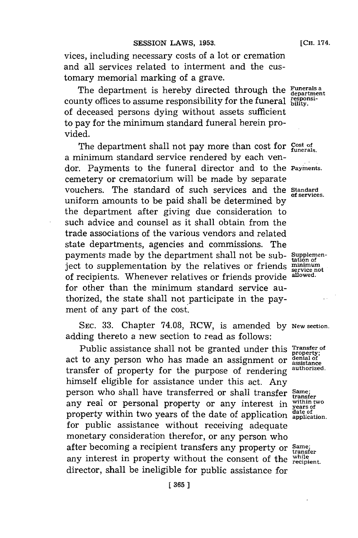#### **SESSION LAWS, 1953. LAWS LCH. LCH. LCH. LCH. LCH. LCH. LCH. LCH. LCH. LCH. LCH. LCH. LCH. LCH. LCH. LCH. LCH. LCH. LCH. LCH. LCH. LCH. LCH. LCH. LCH. LCH. LCH. LCH**

vices, including necessary costs of a lot or cremation and all services related to interment and the customary memorial marking of a grave.

The department is hereby directed through the **Funerals a** department county offices to assume responsibility for the funeral  $\frac{responents}{builty}$ . of deceased persons dying without assets sufficient to pay **for** the minimum standard funeral herein provided.

The department shall not pay more than cost for Cost of funerals. a minimum standard service rendered **by** each vendor. Payments to the funeral director and to the **Paynents** cemetery or crematorium will be made **by** separate vouchers. The standard of such services and the **Standard** uniform amounts to be paid shall be determined **by** the department after giving due consideration to such advice and counsel as it shall obtain from the trade associations of the various vendors and related state departments, agencies and commissions. The payments made by the department shall not be sub- supplemenject to supplementation by the relatives or friends **minimum**<br>of recipients. Whenever relatives or friends provide allowed. of recipients. Whenever relatives or friends provide for other than the minimum standard service authorized, the state shall not participate in the payment of any part of the cost.

SEC. 33. Chapter 74.08, RCW, is amended by New section. adding thereto a new section to read as follows:

Public assistance shall not be granted under this **Transfer** of I done assistance shall not be granted under this property.<br>act to any person who has made an assignment or assistance transfer of property for the purpose of rendering **authorized.** himself eligible for assistance under this act. Any person who shall have transferred or shall transfer **Same; within two** any real or personal property or any interest in **years of** any rear or personal property or any interest in *years of* property within two years of the date of application application. for public assistance without receiving adequate monetary consideration therefor, or any person who after becoming a recipient transfers any property or **Same; transfer** any interest in property without the consent of the **recipient**. director, shall be ineligible for public assistance for

**of services.**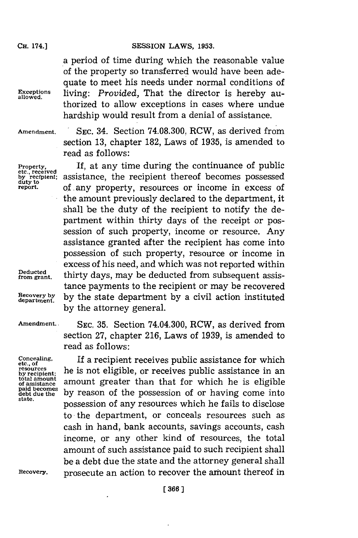a period of time during which the reasonable value of the property so transferred would have been adequate to meet his needs under normal conditions of **Exceptions** living: *Provided,* That the director is hereby authorized to allow exceptions in cases where undue hardship would result from a denial of assistance.

**allowed.**

**Amendment. SEC.** 34. Section **74.08.300,** RCW, as derived from section **13,** chapter **182,** Laws of **1935,** is amended to read as follows:

Property, **If, at any time during the continuance of public<br>etc. received<br>dury recipient; assistance, the recipient thereof becomes possessed Property,** If, at any time during the continuance of public<br>tec., received<br>duty to distribution of any property, resources or income in excess of<br>report. of any property, resources or income in excess of the amount previously declared to the department, it shall be the duty of the recipient to notify the department within thirty days of the receipt or possession of such property, income or resource. Any assistance granted after the recipient has come into possession of such property, resource or income in excess of his need, and which was not reported within  $Deducted$  thirty days, may be deducted from subsequent assistingmental. tance payments to the recipient or may be recovered **Recovery by by** the state department **by** a civil action instituted **by** the attorney general.

from grant.

**etc., of total amount**

**Amendment.. SEC. 35.** Section 74.04.300, RCW, as derived from section **27,** chapter **216,** Laws of **1939,** is amended to read as follows:

**Concealing.** If a recipient receives public assistance for which resources by recipient; he is not eligible, or receives public assistance in an total amount<br>of assistance<br>paid becomes<br>debt due the<br>becomes **by** reason of the possession of or having come into paid becomes by reason of the possession of or having come into state. possession of any resources which he fails to disclose to the department, or conceals resources such as cash in hand, bank accounts, savings accounts, cash income, or any other kind of resources, the total amount of such assistance paid to such recipient shall be a debt due the state and the attorney general shall Recovery. **prosecute an action to recover the amount thereof in**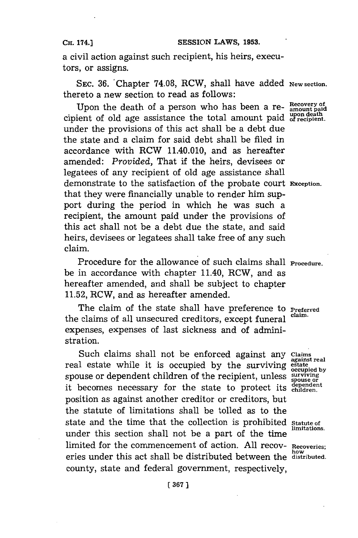a civil action against such recipient, his heirs, executors, or assigns.

**SEC. 36.** 'Chapter **74.08,** RCW, shall have added **New section.** thereto a new section to read as follows:

Upon the death of a person who has been a re- Recovery of cipient of old age assistance the total amount paid of recipient. under the provisions of this act shall be a debt due the state and a claim for said debt shall be filed in accordance with RCW 11.40.010, and as hereafter amended: *Provided,* That if the heirs, devisees or legatees of any recipient of old age assistance shall demonstrate to the satisfaction of the probate court **Exception.** that they were financially unable to render him support during the period in which he was such a recipient, the amount paid under the provisions of this act shall not be a debt due the state, and said heirs, devisees or legatees shall take free of any such claim.

Procedure for the allowance of such claims shall **Procedure.** be in accordance with chapter 11.40, RCW, and as hereafter amended, and shall be subject to chapter **11.52,** RCW, and as hereafter amended.

The claim of the state shall have preference to **Preferred** the claims of all unsecured creditors, except funeral **claim.** expenses, expenses of last sickness and of administration.

Such claims shall not be enforced against any *Claims* real estate while it is occupied by the surviving estate spouse or dependent children of the recipient, unless **surviving** spouse or dependent critician of the recipient, unless spouse or<br>it becomes necessary for the state to protect its dependent position as against another creditor or creditors, but the statute of limitations shall be tolled as to the state and the time that the collection is prohibited **Statute of** *imitations*. under this section shall not be a part of the time limited for the commencement of action. **All** recov- **Recoveries; how** eries under this act shall be distributed between the **distributed.** county, state and federal government, respectively,

**[ 367]1**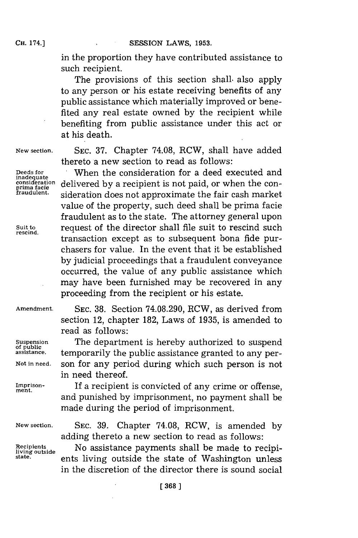in the proportion they have contributed assistance to such recipient.

The provisions of this section shall, also apply to any person or his estate receiving benefits of any public assistance which materially improved or benefited any real estate owned **by** the recipient while benefiting from public assistance under this act or at his death.

**inadequate**

 $rescind.$ 

**New section. SEC. 37.** Chapter **74.08,** RCW, shall have added thereto a new section to read as follows:

**Deeds for** When the consideration for a deed executed and prima facie delivered by a recipient is not paid, or when the con-<br>prima facie delivered by a recipient is not paid, or when the con-<br>fraudulent. addention does not approximate the fair cash market sideration does not approximate the fair cash market value of the property, such deed shall be prima facie fraudulent as to the state. The attorney general upon Suit to **request of the director shall file suit to rescind such** transaction except as to subsequent bona fide purchasers for value. In the event that it be established **by** judicial proceedings that a fraudulent conveyance occurred, the value of any public assistance which may have been furnished may be recovered in any proceeding from the recipient or his estate.

section 12, chapter **182,** Laws of **1935,** is amended to

**Amendment. SEC. 38.** Section 74.08.290, RCW, as derived from

read as follows:

in need thereof.

**Suspension** The department is hereby authorized to suspend **of public assistance,** temporarily the public assistance granted to any per-

**Not in need,** son for any period during which such person is not

**Imprison-** If a recipient is convicted of any crime or offense, **ment.** and punished **by** imprisonment, no payment shall be made during the period of imprisonment.

**New section. SEC. 39.** Chapter **74.08,** RCW, is amended **by** adding thereto a new section to read as follows:

**Recipients** No assistance payments shall be made to recipi**state. lightlergerify** ents living outside the state of Washington unless in the discretion of the director there is sound social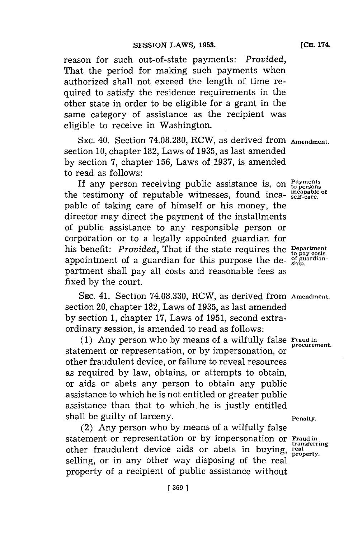reason for such out-of-state payments: *Provided,* That the period for making such payments when authorized shall not exceed the length of time required to satisfy the residence requirements in the other state in order to be eligible **for** a grant in the same category of assistance as the recipient was eligible to receive in Washington.

**SEC.** 40. Section **74.08.280,** RCW, as derived from **Amendment.** section **10,** chapter **182,** Laws of **1935,** as last amended **by** section **7,** chapter **156,** Laws of **1937,** is amended to read as follows:

If any person receiving public assistance is, on  $P_{\text{a} \text{y} \text{means}}$  togethermore of non-table witnesses, found ince incapable of the testimony of reputable witnesses, found inca- $\frac{\text{incapable}}{\text{self-care}}$ pable of taking care of himself or his money, the director may direct the payment of the installments of public assistance to any responsible person or corporation or to a legally appointed guardian for his benefit: *Provided*, That if the state requires the **Department** appointment of a guardian for this purpose the de- ship use of guardianpartment shall pay all costs and reasonable fees as fixed **by** the court.

**SEC.** 41. Section **74.08.330,** RCW, as derived from **Amendment.** section 20, chapter **182,** Laws of **1935,** as last amended **by** section **1,** chapter **17,** Laws of **1951,** second extraordinary session, is amended to read as follows:

**(1)** Any person who **by** means of a wilfully false **Fraud in** statement or representation, or by impersonation, or other fraudulent device, or failure to reveal resources as required **by** law, obtains, or attempts to obtain, or aids or abets any person to obtain any public assistance to which he is not entitled or greater public assistance than that to which. he is justly entitled shall be guilty of larceny. **Penalty Penalty**.

(2) Any person who **by** means of a wilfully false statement or representation or by impersonation or **Fraud in** transferring other fraudulent device aids or abets in buying, real<br>selling, or in any other way disposing of the real property of a recipient of public assistance without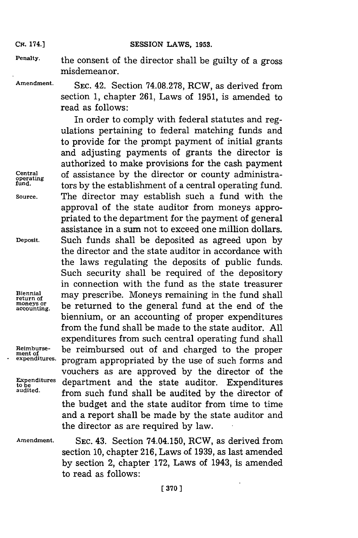**Penalty.** the consent of the director shall be guilty of a gross misdemeanor.

**Amendment. SEC.** 42. Section **74.08.278,** RCW, as derived from section **1,** chapter **261,** Laws of **1951,** is amended to read as follows:

In order to comply with federal statutes and regulations pertaining to federal matching funds and to provide for the prompt payment of initial grants and adjusting payments of grants the director is authorized to make provisions for the cash payment **Central** of assistance **by** the director or county administra- **operating fund.** tors **by** the establishment of a central operating fund. **Source.** The director may establish such a fund with the approval of the state auditor from moneys appropriated to the department for the payment of general assistance in a sum not to exceed one million dollars. **Deposit.** Such funds shall be deposited as agreed upon **by** the director and the state auditor in accordance with the laws regulating the deposits of public funds. Such security shall be required of the depository in connection with the fund as the state treasurer  $\begin{minipage}{14cm} \begin{tabular}{ll} \bf{Biennial} & \bf{may prescribe.}\end{tabular} & \bf{Moneys remaining in the fund shall} \end{tabular}$ be returned to the general fund at the end of the biennium, or an accounting of proper expenditures from the fund shall be made to the state auditor. **All** expenditures from such central operating fund shall **Reimburse-** be reimbursed out of and charged to the proper **ment of** program appropriated by the use of such forms and vouchers as are approved **by** the director of the Expenditures department and the state auditor. Expenditures audited.<br>audited. **from such fund shall** be sudited by the director of **audited,** from such fund shall be audited **by** the director of the budget and the state auditor from time to time and a report shall be made **by** the state auditor and the director as are required **by** law.

moneys or<br>a**c**counting.

**Amendment. SEC.** 43. Section 74.04.150, RCW, as derived from section **10,** chapter **216,** Laws of **1939,** as last amended **by** section 2, chapter **172,** Laws of 1943, is amended to read as follows:

**[ 370]1**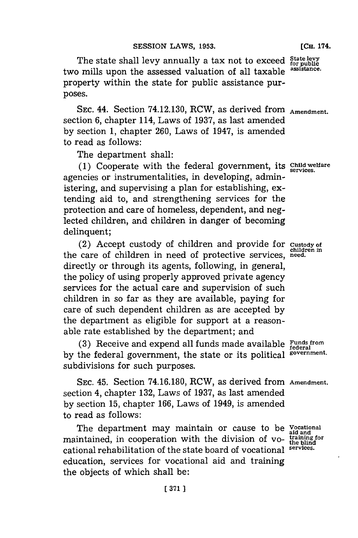The state shall levy annually a tax not to exceed State levy<br>a mills upon the assessed valuation of all taxable assistance. two mills upon the assessed valuation of all taxable property within the state for public assistance purposes.

SEC. 44. Section 74.12.130, RCW, as derived from **Amendment.** section **6,** chapter 114, Laws of **1937,** as last amended **by** section **1,** chapter **260,** Laws of 1947, is amended to read as follows:

The department shall:

**(1)** Cooperate with the federal government, its **Child welfare** agencies or instrumentalities, in developing, administering, and supervising a plan for establishing, extending aid to, and strengthening services for the protection and care of homeless, dependent, and neglected children, and children in danger of becoming delinquent;

(2) Accept custody of children and provide for **custody of** the care of children in need of protective services, need. directly or through its agents, following, in general, the policy of using properly approved private agency services for the actual care and supervision of such children in so far as they are available, paying for care of such dependent children as are accepted **by** the department as eligible for support at a reasonable rate established **by** the department; and

**(3)** Receive and expend all funds made available **Funds from federal by** the federal government, the state or its political **government.** subdivisions for such purposes.

**SEC.** 45. Section **74.16.180,** RCW, as derived from **Amendment.** section 4, chapter **132,** Laws of **1937,** as last amended **by** section **15,** chapter **166,** Laws of 1949, is amended to read as follows:

The department may maintain or cause to be **Vocational** maintained, in cooperation with the division of vo- **training for the blind** cational rehabilitation of the state board of vocational **services.** education, services for vocational aid and training the objects of which shall be: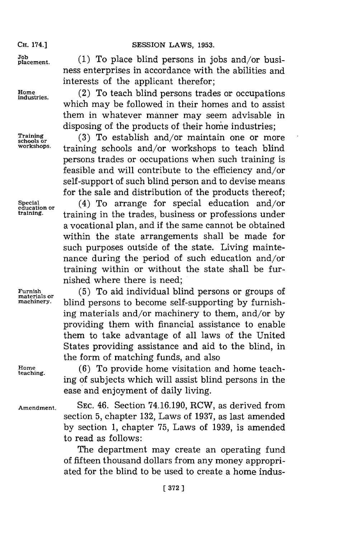ness enterprises in accordance with the abilities and

interests of the applicant therefor;

**plaement. (1)** To place blind persons in jobs and/or busi-

Home (2) To teach blind persons trades or occupations which may be followed in their homes and to assist them in whatever manner may seem advisable in disposing of the products of their home industries;

Training (3) To establish and/or maintain one or more<br>schools or workshops.<br>workshops. training schools and/or workshops to toogh blind. **workshops.** training schools and/or workshops to teach blind persons trades or occupations when such training is feasible and will contribute to the efficiency and/or self-support of such blind person and to devise means for the sale and distribution of the products thereof; **Special** (4) To arrange for special education and/or education or (4) To arrange for special education and/or <br> **training** training in the trades business or professions under **training,** training in the trades, business or professions under a vocational plan, and if the same cannot be obtained within the state arrangements shall be made for such purposes outside of the state. Living mainte-

nance during the period of such education and/or training within or without the state shall be furnished where there is need;

**Furnish (5) To aid individual blind persons or groups of materials or <br>machinery. blind persons to become self-supporting by furnish**ing materials and/or machinery to them, and/or **by** providing them with financial assistance to enable them to take advantage of all laws of the United States providing assistance and aid to the blind, in the form of matching funds, and also

Home<br>teaching. (6) To provide home visitation and home teaching of subjects which will assist blind persons in the ease and enjoyment of daily living.

**Amendment. SEC.** 46. Section **74.16.190,** RCW, as derived from section **5,** chapter **132,** Laws of **1937,** as last amended **by** section **1,** chapter **75,** Laws of **1939,** is amended to read as follows:

> The department may create an operating fund of fifteen thousand dollars from any money appropriated for the blind to be used to create a home indus-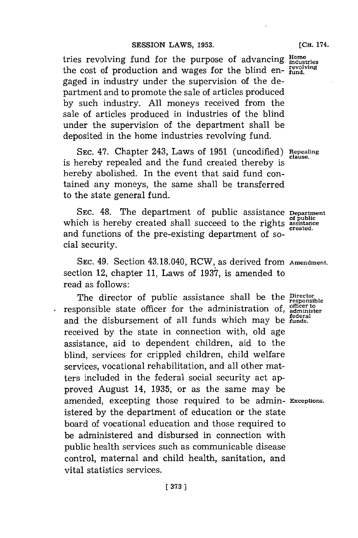#### **SESSION LAWS, 1953.** [CH. 174.

tries revolving fund for the purpose of advancing **Home** *industries* the cost of production and wages for the blind en- $_{\text{fund.}}^{\text{revolving}}$ gaged in industry under the supervision of the department and to promote the sale of articles produced **by** such industry. **All** moneys received from the sale of articles produced in industries of the blind under the supervision of the department shall be deposited in the home industries revolving fund.

**SEC.** 47. Chapter 243, Laws of **1951** (uncodified) **Repealing clause.** is hereby repealed and the fund created thereby is hereby abolished. In the event that said fund contained any moneys, the same shall be transferred to the state general fund.

**SEC.** 48. The department of public assistance **Department** which is hereby created shall succeed to the rights **assistance**<br>extending the rights **of public** and functions of the pre-existing department of social security.

**SEC.** 49. Section 43.18.040, RCW, as derived from **Amendment.** section 12, chapter **11,** Laws of **1937,** is amended to read as follows:

The director of public assistance shall be the **Director**<br>responsible state officer for the administration of, administer<br>and the disbursement of all funds which may be funds. received **by** the state in connection with, old age assistance, aid to dependent children, aid to the blind, services for crippled children, child welfare services, vocational rehabilitation, and all other matters included in the federal social security act approved August 14, **1935,** or as the same may be amended, excepting those required to be admin- **Exceptions.** istered **by** the department of education or the state board of vocational education and those required to be administered and disbursed in connection with public health services such as communicable disease control, maternal and child health, sanitation, and vital statistics services.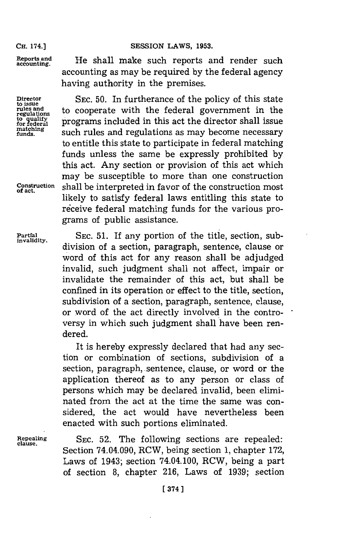accounting as may be required **by** the federal agency

having authority in the premises.

Reports and **He shall make such reports and render such** accounting.

Director SEC. 50. In furtherance of the policy of this state to issue<br>rules and the cooperate with the federal government in the regulations to cooperate with the federal government in the **for quality**<br>for federal **programs** included in this act the director shall issue<br>matching<br>matching<br> $\frac{1}{2}$  and  $\frac{1}{2}$  is and  $\frac{1}{2}$  is actually is a mean because programs matching **such rules and regulations as may become necessary** to entitle this state to participate in federal matching funds unless the same be expressly prohibited **by** this act. Any section or provision of this act which may be susceptible to more than one construction Construction shall be interpreted in favor of the construction most likely to satisfy federal laws entitling this state to receive federal matching funds for the various programs of public assistance.

Partial SEC. 51. If any portion of the title, section, sub**invalidity,** division of a section, paragraph, sentence, clause or word of this act for any reason shall be adjudged invalid, such judgment shall not affect, impair or invalidate the remainder of this act, but shall be confined in its operation or effect to the title, section, subdivision of a section, paragraph, sentence, clause, or word of the act directly involved in the controversy in which such judgment shall have been rendered.

> It is hereby expressly declared that had any section or combination of sections, subdivision of a section, paragraph, sentence, clause, or word or the application thereof as to any person or class of persons which may be declared invalid, been eliminated from the act at the time the same was considered, the act would have nevertheless been enacted with such portions eliminated.

**Repealing SEC. 52.** The following sections are repealed: **clause.** Section 74.04.090, RCW, being section **1,** chapter **172,** Laws of 1943; section 74.04.100, RCW, being a part of section **8,** chapter **216,** Laws of **1939;** section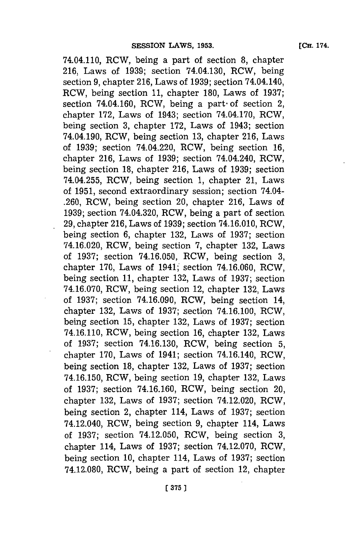**[CH. 174.**

74.04.110, RCW, being a part of section **8,** chapter **216,** Laws of **1939;** section 74.04.130, RCW, being section **9,** chapter **216,** Laws of **1939;** section 74.04.140, RCW, being section **11,** chapter **180,** Laws of **1937;** section 74.04.160, RCW, being a part of section 2, chapter **172,** Laws of 1943; section 74.04.170, RCW, being section **3,** chapter **172,** Laws of 1943; section 74.04.190, RCW, being section **13,** chapter **216,** Laws of **1939;** section 74.04.220, RCW, being section **16,** chapter **216,** Laws of **1939;** section 74.04.240, RCW, being section **18,** chapter **216,** Laws of **1939;** section 74.04.255, RCW, being section **1,** chapter 21, Laws of **1951,** second extraordinary session; section 74.04- **.260,** RCW, being section 20, chapter **216,** Laws of **1939;** section 74.04.320, RCW, being a part of section **29,** chapter **216,** Laws of **1939;** section 74.16.010, RCW, being section **6,** chapter **132,** Laws of **1937;** section 74.16.020, RCW, being section **7,** chapter **132,** Laws of **1937;** section **74.16.050,** RCW, being section **3,** chapter **170,** Laws of 1941;' section **74.16.060,** RCW, being section **11,** chapter **132,** Laws of **1937;** section **74.16.070,** RCW, being section 12, chapter **132,** Laws of **1937;** section **74.16.090,** RCW, being section 14, chapter 132, Laws of 1937; section 74.16.100, RCW, being section **15,** chapter **132,** Laws of **1937;** section 74.16.110, RCW, being section **16,** chapter **132,** Laws of **1937;** section **74.16.130,** RCW, being section **5,** chapter **170,** Laws of 1941; section 74.16.140, RCW, being section **18,** chapter **132,** Laws of **1937;** section **74.16.150,** RCW, being section **19,** chapter **132,** Laws of **1937;** section **74.16.160,** RCW, being section 20, chapter **132,** Laws of **1937;** section 74.12.020, RCW, being section 2, chapter 114, Laws of **1937;** section 74.12.040, RCW, being section **9,** chapter 114, Laws of **1937;** section 74.12.050, RCW, being section **3,** chapter 114, Laws of **1937;** section **74.12.070,** RCW, being section **10,** chapter 114, Laws of **1937;** section **74.12.080,** RCW, being a part of section 12, chapter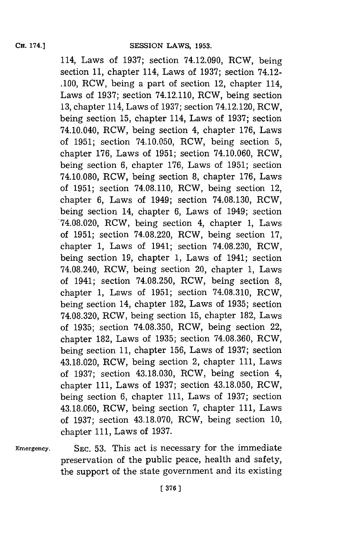114, Laws of **1937;** section 74.12.090, RCW, being section **11,** chapter 114, Laws of **1937;** section 74.12- **.100,** RCW, being a part of section 12, chapter 114, Laws of **1937;** section 74.12.110, RCW, being section **13,** chapter 114, Laws of **1937;** section 74.12.120, RCW, being section **15,** chapter 114, Laws of **1937;** section 74.10.040, RCW, being section 4, chapter **176,** Laws of **1951;** section 74.10.050, RCW, being section **5,** chapter **176,** Laws of **1951;** section 74.10.060, RCW, being section **6,** chapter **176,** Laws of **1951;** section **74.10.080,** RCW, being section **8,** chapter **176,** Laws of **1951;** section **74.08.110,** RCW, being section 12, chapter **6,** Laws of 1949; section **74.08.130,** RCW, being section 14, chapter **6,** Laws of 1949; section **74.08.020,** RCW, being section 4, chapter **1,** Laws of **1951;** section **74.08.220,** RCW, being section **17,** chapter **1,** Laws of 1941; section **74.08.230,** RCW, being section **19,** chapter **1,** Laws of 1941; section 74.08.240, RCW, being section 20, chapter **1,** Laws of 1941; section **74.08.250,** RCW, being section **8,** chapter **1,** Laws of **1951;** section **74.08.310,** RCW, being section 14, chapter **182,** Laws of **1935;** section **74.08.320,** RCW, being section **15,** chapter **182,** Laws of **1935;** section **74.08.350,** RCW, being section 22, chapter **182,** Laws of **1935;** section **74.08.360,** RCW, being section **11,** chapter **156,** Laws of **1937;** section 43.18.020, RCW, being section 2, chapter **111,** Laws of **1937;** section **43.18.030,** RCW, being section 4, chapter **111,** Laws of **1937;** section **43.18.050,** RCW, being section **6,** chapter **111,** Laws of **1937;** section **43.18.060,** RCW, being section **7,** chapter **111,** Laws of **1937;** section **43.18.070,** RCW, being section **10,** chapter **111,** Laws of **1937.**

**Emergency.**

**SEC. 53.** This act is necessary for the immediate preservation of the public peace, health and safety, the support of the state government and its existing